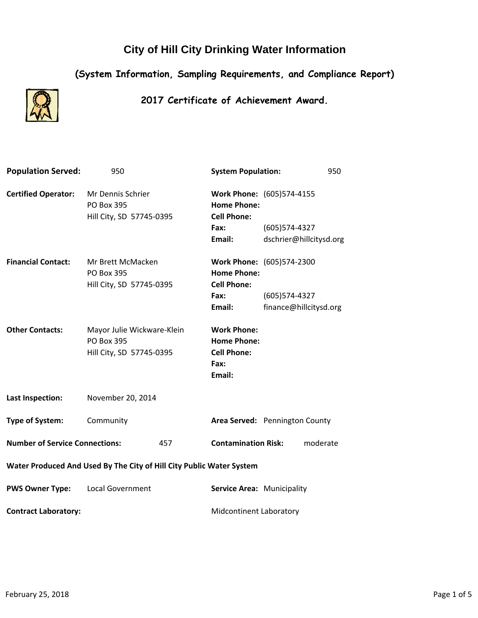# **City of Hill City Drinking Water Information**

## **(System Information, Sampling Requirements, and Compliance Report)**



### **2017 Certificate of Achievement Award.**

| <b>Population Served:</b>                                            | 950                                                                  |     | <b>System Population:</b>                                                        |                        | 950                     |
|----------------------------------------------------------------------|----------------------------------------------------------------------|-----|----------------------------------------------------------------------------------|------------------------|-------------------------|
| <b>Certified Operator:</b>                                           | Mr Dennis Schrier<br>PO Box 395<br>Hill City, SD 57745-0395          |     | Work Phone: (605)574-4155<br><b>Home Phone:</b><br><b>Cell Phone:</b>            |                        |                         |
|                                                                      |                                                                      |     | Fax:                                                                             | $(605)$ 574-4327       |                         |
|                                                                      |                                                                      |     | Email:                                                                           |                        | dschrier@hillcitysd.org |
| <b>Financial Contact:</b>                                            | Mr Brett McMacken<br><b>PO Box 395</b><br>Hill City, SD 57745-0395   |     | Work Phone: (605)574-2300<br><b>Home Phone:</b><br><b>Cell Phone:</b>            |                        |                         |
|                                                                      |                                                                      |     | Fax:                                                                             | $(605)$ 574-4327       |                         |
|                                                                      |                                                                      |     | Email:                                                                           | finance@hillcitysd.org |                         |
| <b>Other Contacts:</b>                                               | Mayor Julie Wickware-Klein<br>PO Box 395<br>Hill City, SD 57745-0395 |     | <b>Work Phone:</b><br><b>Home Phone:</b><br><b>Cell Phone:</b><br>Fax:<br>Email: |                        |                         |
| <b>Last Inspection:</b>                                              | November 20, 2014                                                    |     |                                                                                  |                        |                         |
| <b>Type of System:</b>                                               | Community                                                            |     | Area Served: Pennington County                                                   |                        |                         |
| <b>Number of Service Connections:</b>                                |                                                                      | 457 | <b>Contamination Risk:</b>                                                       |                        | moderate                |
| Water Produced And Used By The City of Hill City Public Water System |                                                                      |     |                                                                                  |                        |                         |
| <b>PWS Owner Type:</b>                                               | <b>Local Government</b>                                              |     | Service Area: Municipality                                                       |                        |                         |
| <b>Contract Laboratory:</b>                                          |                                                                      |     | <b>Midcontinent Laboratory</b>                                                   |                        |                         |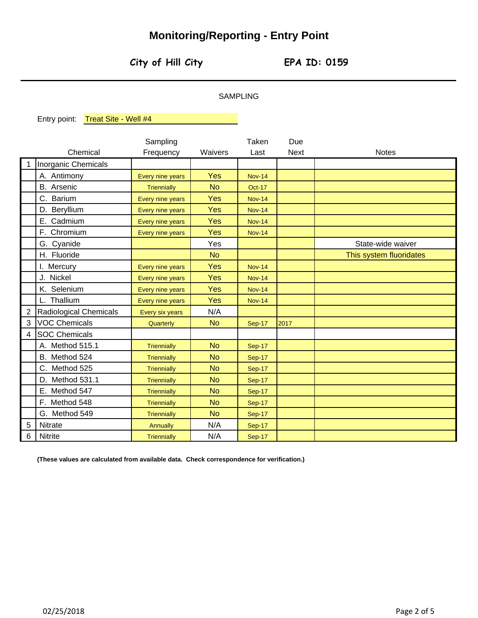## **Monitoring/Reporting - Entry Point**

**City of Hill City EPA ID: 0159**

#### SAMPLING

Entry point: Treat Site - Well #4

Due Waivers Last Next Inorganic Chemicals A. Antimony The Real Press Contract Contract A. Antimony B. Arsenic **No. 1 Container Triennially No.** No. C. Barium **C. Barium Property Every nine years Yes** D. Beryllium **I** Every nine years **Yes** E. Cadmium **I** Every nine years **Yes** F. Chromium **F. Chromium Property Every nine years Yes** G. Cyanide **Vester Strategies According to the Vester Strategies** H. Fluoride No. 2014 I. Mercury **Conserve Access Yes** Nov-14 J. Nickel Yes Every nine years K. Selenium **In Lattery Reserve Institute Contract Contract Press** L. Thallium  $\vert$  Every nine years  $\vert$  Yes Radiological Chemicals **Every six years** N/A VOC Chemicals **No 2017 No** 2017 SOC Chemicals A. Method 515.1 **No. I** Triennially **No.** B. Method 524 **No** Triennially **No** C. Method 525 **No** Triennially **No** D. Method 531.1 **No.** Triennially **No.** E. Method 547 **No. 1. Triennially No.** No. F. Method 548 **No. 1. Triennially** No. G. Method 549 | Triennially | No Nitrate **Nitrate N/A** Nitrite **Nitrice Nitrice Nitrice Nitrice Nitrice** Nitrice Nitrice Nitrice Nitrice Nitrice Nitrice Nitrice Nitrice **Notes** Sep-17 Nov-14 State-wide waiver This system fluoridates Nov-14 Sep-17 Sep-17 Sep-17 Sep-17 Sep-17 Sep-17 Sep-17 Sep-17 Nov-14 Nov-14 Sep-17 Nov-14 Oct-17 Nov-14 Nov-14 Nov-14 **Triennially Triennially Triennially Triennially** Every six years 5 **Quarterly Triennially Triennially** Sampling **Triennially** 6 2 3 4 Chemical Frequency **Triennially** 1 Taken

**(These values are calculated from available data. Check correspondence for verification.)**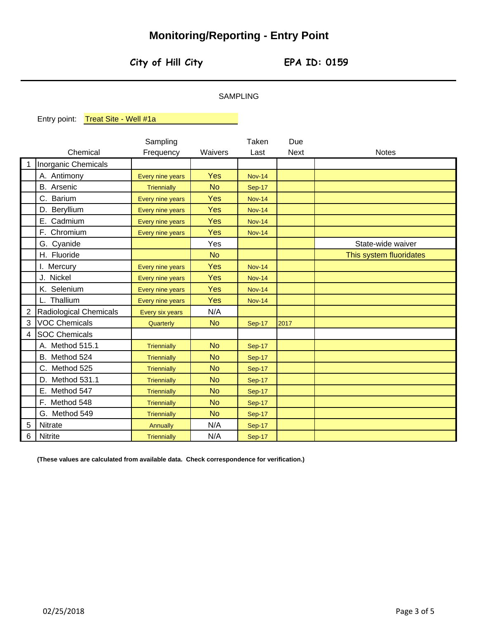# **Monitoring/Reporting - Entry Point**

**City of Hill City EPA ID: 0159**

### SAMPLING

Entry point: Treat Site - Well #1a

|                |                        | Sampling           |            | Taken         | Due         |                         |
|----------------|------------------------|--------------------|------------|---------------|-------------|-------------------------|
|                | Chemical               | Frequency          | Waivers    | Last          | <b>Next</b> | <b>Notes</b>            |
| 1              | Inorganic Chemicals    |                    |            |               |             |                         |
|                | A. Antimony            | Every nine years   | Yes        | <b>Nov-14</b> |             |                         |
|                | <b>B.</b> Arsenic      | Triennially        | <b>No</b>  | <b>Sep-17</b> |             |                         |
|                | C. Barium              | Every nine years   | <b>Yes</b> | <b>Nov-14</b> |             |                         |
|                | D. Beryllium           | Every nine years   | <b>Yes</b> | <b>Nov-14</b> |             |                         |
|                | E. Cadmium             | Every nine years   | Yes        | <b>Nov-14</b> |             |                         |
|                | F. Chromium            | Every nine years   | <b>Yes</b> | <b>Nov-14</b> |             |                         |
|                | G. Cyanide             |                    | Yes        |               |             | State-wide waiver       |
|                | H. Fluoride            |                    | <b>No</b>  |               |             | This system fluoridates |
|                | I. Mercury             | Every nine years   | <b>Yes</b> | <b>Nov-14</b> |             |                         |
|                | J. Nickel              | Every nine years   | <b>Yes</b> | <b>Nov-14</b> |             |                         |
|                | K. Selenium            | Every nine years   | <b>Yes</b> | <b>Nov-14</b> |             |                         |
|                | L. Thallium            | Every nine years   | <b>Yes</b> | <b>Nov-14</b> |             |                         |
| $\overline{2}$ | Radiological Chemicals | Every six years    | N/A        |               |             |                         |
| 3              | <b>VOC Chemicals</b>   | Quarterly          | <b>No</b>  | <b>Sep-17</b> | 2017        |                         |
| 4              | <b>SOC Chemicals</b>   |                    |            |               |             |                         |
|                | A. Method 515.1        | <b>Triennially</b> | <b>No</b>  | <b>Sep-17</b> |             |                         |
|                | B. Method 524          | Triennially        | <b>No</b>  | <b>Sep-17</b> |             |                         |
|                | C. Method 525          | <b>Triennially</b> | <b>No</b>  | <b>Sep-17</b> |             |                         |
|                | D. Method 531.1        | <b>Triennially</b> | <b>No</b>  | <b>Sep-17</b> |             |                         |
|                | E. Method 547          | <b>Triennially</b> | <b>No</b>  | <b>Sep-17</b> |             |                         |
|                | F. Method 548          | <b>Triennially</b> | <b>No</b>  | <b>Sep-17</b> |             |                         |
|                | G. Method 549          | <b>Triennially</b> | <b>No</b>  | <b>Sep-17</b> |             |                         |
| 5              | Nitrate                | <b>Annually</b>    | N/A        | <b>Sep-17</b> |             |                         |
| 6              | Nitrite                | Triennially        | N/A        | <b>Sep-17</b> |             |                         |

**(These values are calculated from available data. Check correspondence for verification.)**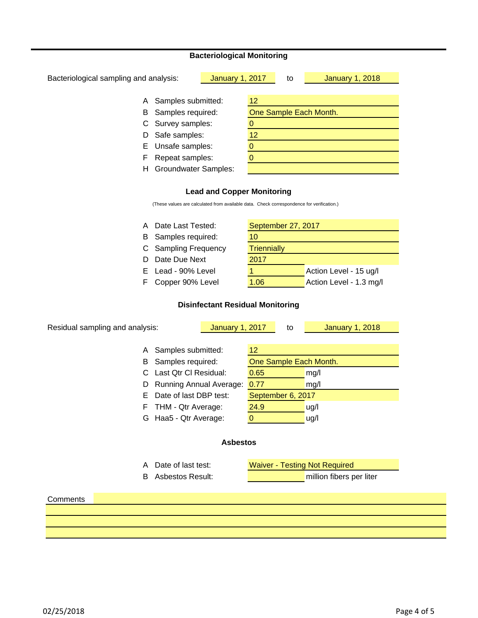#### **Bacteriological Monitoring**

| Bacteriological sampling and analysis: |                             | <b>January 1, 2017</b> |    | to | <b>January 1, 2018</b> |
|----------------------------------------|-----------------------------|------------------------|----|----|------------------------|
|                                        |                             |                        |    |    |                        |
| A                                      | Samples submitted:          |                        | 12 |    |                        |
| B                                      | Samples required:           |                        |    |    | One Sample Each Month. |
| C                                      | Survey samples:             |                        |    |    |                        |
| D                                      | Safe samples:               |                        | 12 |    |                        |
| E.                                     | Unsafe samples:             |                        |    |    |                        |
| F                                      | Repeat samples:             |                        |    |    |                        |
| н                                      | <b>Groundwater Samples:</b> |                        |    |    |                        |
|                                        |                             |                        |    |    |                        |

#### **Lead and Copper Monitoring**

(These values are calculated from available data. Check correspondence for verification.)

| A Date Last Tested:  |                    | September 27, 2017      |  |  |  |  |  |
|----------------------|--------------------|-------------------------|--|--|--|--|--|
| B Samples required:  | 10                 |                         |  |  |  |  |  |
| C Sampling Frequency | <b>Triennially</b> |                         |  |  |  |  |  |
| D Date Due Next      | 2017               |                         |  |  |  |  |  |
| E Lead - 90% Level   |                    | Action Level - 15 ug/l  |  |  |  |  |  |
| F Copper 90% Level   | 1.06               | Action Level - 1.3 mg/l |  |  |  |  |  |

#### **Disinfectant Residual Monitoring**

| Residual sampling and analysis: |             | to                                                                          | <b>January 1, 2018</b>   |                                                           |  |  |  |
|---------------------------------|-------------|-----------------------------------------------------------------------------|--------------------------|-----------------------------------------------------------|--|--|--|
| Samples submitted:              | 12          |                                                                             |                          |                                                           |  |  |  |
| Samples required:               |             | One Sample Each Month.                                                      |                          |                                                           |  |  |  |
| Last Qtr CI Residual:           | 0.65        |                                                                             | mg/l                     |                                                           |  |  |  |
|                                 | 0.77        |                                                                             | mg/l                     |                                                           |  |  |  |
| Date of last DBP test:          |             |                                                                             |                          |                                                           |  |  |  |
| THM - Qtr Average:              | 24.9        |                                                                             | ug/l                     |                                                           |  |  |  |
| Haa5 - Qtr Average:             | $\mathbf 0$ |                                                                             | ug/l                     |                                                           |  |  |  |
|                                 |             |                                                                             |                          |                                                           |  |  |  |
| Date of last test:              |             |                                                                             |                          |                                                           |  |  |  |
| <b>Asbestos Result:</b>         |             |                                                                             | million fibers per liter |                                                           |  |  |  |
|                                 |             |                                                                             |                          |                                                           |  |  |  |
|                                 |             |                                                                             |                          |                                                           |  |  |  |
|                                 |             |                                                                             |                          |                                                           |  |  |  |
|                                 |             | <b>January 1, 2017</b><br><b>Running Annual Average:</b><br><b>Asbestos</b> |                          | September 6, 2017<br><b>Waiver - Testing Not Required</b> |  |  |  |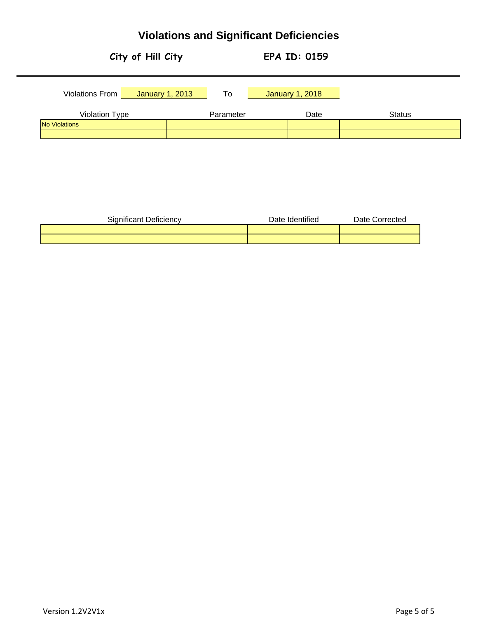# **Violations and Significant Deficiencies**



| <b>Significant Deficiency</b> | Date Identified | Date Corrected |
|-------------------------------|-----------------|----------------|
|                               |                 |                |
|                               |                 |                |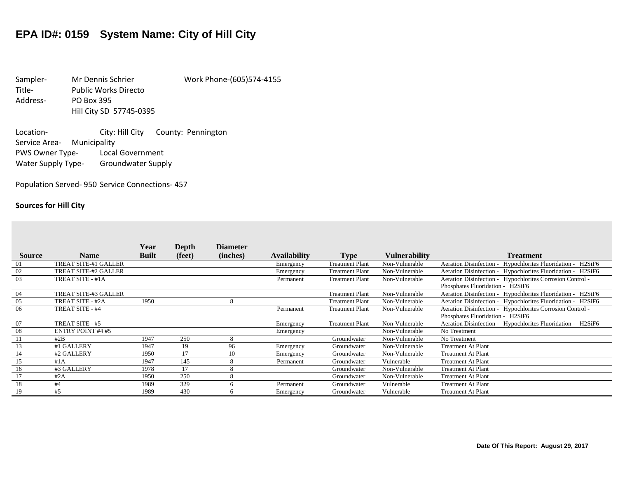# **EPA ID#: 0159 System Name: City of Hill City**

Sampler- Mr Dennis Schrier Work Phone-(605)574-4155 Title- Public Works Directo Address- PO Box 395 Hill City SD 57745-0395

Location-<br>
City: Hill City County: Pennington Service Area- Municipality PWS Owner Type- Local Government Water Supply Type- Groundwater Supply

Population Served- 950 Service Connections- 457

#### **Sources for Hill City**

|                |                             | Year         | Depth  | <b>Diameter</b> |                     |                        |                      |                                                                                               |
|----------------|-----------------------------|--------------|--------|-----------------|---------------------|------------------------|----------------------|-----------------------------------------------------------------------------------------------|
| <b>Source</b>  | <b>Name</b>                 | <b>Built</b> | (feet) | (inches)        | <b>Availability</b> | <b>Type</b>            | <b>Vulnerability</b> | <b>Treatment</b>                                                                              |
| 01             | <b>TREAT SITE-#1 GALLER</b> |              |        |                 | Emergency           | <b>Treatment Plant</b> | Non-Vulnerable       | Aeration Disinfection - Hypochlorites Fluoridation - H2SiF6                                   |
| 02             | TREAT SITE-#2 GALLER        |              |        |                 | Emergency           | <b>Treatment Plant</b> | Non-Vulnerable       | Aeration Disinfection - Hypochlorites Fluoridation - H2SiF6                                   |
| 03             | TREAT SITE - #1A            |              |        |                 | Permanent           | <b>Treatment Plant</b> | Non-Vulnerable       | Aeration Disinfection - Hypochlorites Corrosion Control -<br>Phosphates Fluoridation - H2SiF6 |
| 04             | TREAT SITE-#3 GALLER        |              |        |                 |                     | <b>Treatment Plant</b> | Non-Vulnerable       | Aeration Disinfection - Hypochlorites Fluoridation - H2SiF6                                   |
| 05             | TREAT SITE - #2A            | 1950         |        | 8               |                     | <b>Treatment Plant</b> | Non-Vulnerable       | Aeration Disinfection - Hypochlorites Fluoridation - H2SiF6                                   |
| 06             | TREAT SITE - #4             |              |        |                 | Permanent           | <b>Treatment Plant</b> | Non-Vulnerable       | Aeration Disinfection - Hypochlorites Corrosion Control -<br>Phosphates Fluoridation - H2SiF6 |
| 07             | TREAT SITE - #5             |              |        |                 | Emergency           | <b>Treatment Plant</b> | Non-Vulnerable       | Aeration Disinfection - Hypochlorites Fluoridation - H2SiF6                                   |
| 08             | <b>ENTRY POINT #4 #5</b>    |              |        |                 | Emergency           |                        | Non-Vulnerable       | No Treatment                                                                                  |
| $\overline{1}$ | #2B                         | 1947         | 250    | $\mathbf{R}$    |                     | Groundwater            | Non-Vulnerable       | No Treatment                                                                                  |
| 13             | #1 GALLERY                  | 1947         | 19     | 96              | Emergency           | Groundwater            | Non-Vulnerable       | <b>Treatment At Plant</b>                                                                     |
| 14             | #2 GALLERY                  | 1950         | 17     | 10              | Emergency           | Groundwater            | Non-Vulnerable       | <b>Treatment At Plant</b>                                                                     |
| 15             | #1A                         | 1947         | 145    | $\mathbf{R}$    | Permanent           | Groundwater            | Vulnerable           | <b>Treatment At Plant</b>                                                                     |
| 16             | #3 GALLERY                  | 1978         | 17     | 8               |                     | Groundwater            | Non-Vulnerable       | <b>Treatment At Plant</b>                                                                     |
| 17             | #2A                         | 1950         | 250    | $\circ$         |                     | Groundwater            | Non-Vulnerable       | <b>Treatment At Plant</b>                                                                     |
| 18             | #4                          | 1989         | 329    |                 | Permanent           | Groundwater            | Vulnerable           | <b>Treatment At Plant</b>                                                                     |
| 19             | #5                          | 1989         | 430    | 6               | Emergency           | Groundwater            | Vulnerable           | <b>Treatment At Plant</b>                                                                     |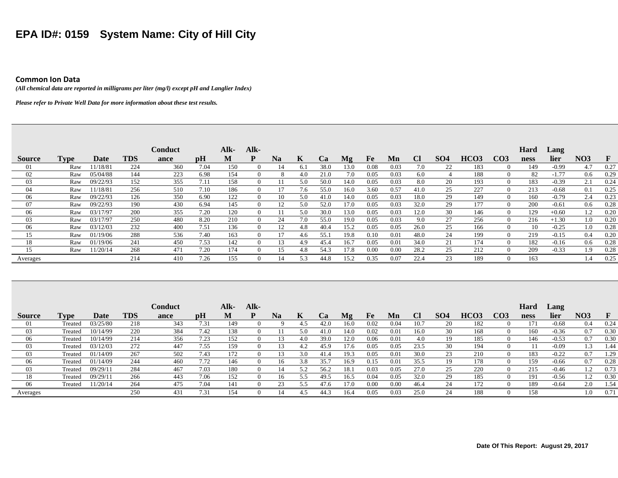# **EPA ID#: 0159 System Name: City of Hill City**

#### **Common Ion Data**

*(All chemical data are reported in milligrams per liter (mg/l) except pH and Langlier Index)* 

*Please refer to Private Well Data for more information about these test results.* 

|               |      |          |            | <b>Conduct</b> |      | Alk- | Alk- |                |     |           |      |      |      |           |            |                  |                 | Hard | Lang    |            |              |
|---------------|------|----------|------------|----------------|------|------|------|----------------|-----|-----------|------|------|------|-----------|------------|------------------|-----------------|------|---------|------------|--------------|
| <b>Source</b> | Type | Date     | <b>TDS</b> | ance           | pH   | M    | D    | N <sub>a</sub> | K   | <b>Ca</b> | Mg   | Fe   | Mn   | <b>Cl</b> | <b>SO4</b> | HCO <sub>3</sub> | CO <sub>3</sub> | ness | lier    | <b>NO3</b> | $\mathbf{F}$ |
| -01           | Raw  | 11/18/81 | 224        | 360            | 7.04 | 150  |      |                | 6.1 | 38.0      | 13.0 | 0.08 | 0.03 | 7.0       | 22         | 183              | $\Omega$        | 149  | $-0.99$ | 4.7        | 0.27         |
| 02            | Raw  | 05/04/88 | 144        | 223            | 6.98 | 154  |      | 8              | 4.0 | 21.0      | 7.0  | 0.05 | 0.03 | 6.0       |            | 188              | $\theta$        | 82   | $-1.77$ | 0.6        | 0.29         |
| 03            | Raw  | 09/22/93 | 152        | 355            | 7.11 | 158  |      | 11             | 5.0 | 50.0      | 14.0 | 0.05 | 0.03 | 8.0       | 20         | 193              | $\Omega$        | 183  | $-0.39$ | 2.1        | 0.24         |
| -04           | Raw  | 11/18/81 | 256        | 510            | 7.10 | 186  |      |                | 7.6 | 55.0      | 16.0 | 3.60 | 0.57 | 41.0      | 25         | 227              | $\Omega$        | 213  | $-0.68$ | 0.1        | 0.25         |
| -06           | Raw  | 09/22/93 | 126        | 350            | 6.90 | 122  |      | 10             | 5.0 | 41.0      | 14.0 | 0.05 | 0.03 | 18.0      | 29         | 149              | $\Omega$        | 160  | $-0.79$ | 2.4        | 0.23         |
| -07           | Raw  | 09/22/93 | 190        | 430            | 6.94 | 145  |      |                | 5.0 | 52.0      | 17.0 | 0.05 | 0.03 | 32.0      | 29         | 177              | $\Omega$        | 200  | $-0.61$ | 0.6        | 0.28         |
| -06           | Raw  | 03/17/97 | 200        | 355            | 7.20 | 120  |      |                | 5.0 | 30.0      | 13.0 | 0.05 | 0.03 | 12.0      | 30         | 146              | $\Omega$        | 129  | $+0.60$ | 1.2        | 0.20         |
| 03            | Raw  | 03/17/97 | 250        | 480            | 8.20 | 210  |      | 24             | 7.0 | 55.0      | 19.0 | 0.05 | 0.03 | 9.0       | 27         | 256              | $\theta$        | 216  | $+1.30$ | 1.0        | 0.20         |
| 06            | Raw  | 03/12/03 | 232        | 400            | 7.51 | 136  |      |                | 4.8 | 40.4      | 15.2 | 0.05 | 0.05 | 26.0      | 25         | 166              | $\Omega$        | 10   | $-0.25$ | 1.0        | 0.28         |
| 15            | Raw  | 01/19/06 | 288        | 536            | 7.40 | 163  |      |                | 4.6 | 55.1      | 19.8 | 0.10 | 0.01 | 48.0      | 24         | 199              | $\Omega$        | 219  | $-0.15$ | 0.4        | 0.20         |
| 18            | Raw  | 01/19/06 | 241        | 450            | 7.53 | 142  |      | 13             | 4.9 | 45.4      | 16.7 | 0.05 | 0.01 | 34.0      | 21         | 174              | $\theta$        | 182  | $-0.16$ | 0.6        | 0.28         |
|               | Raw  | 11/20/14 | 268        | 471            | 7.20 | 174  |      |                | 4.8 | 54.3      | 17.8 | 0.00 | 0.00 | 28.2      | 25         | 212              | $\Omega$        | 209  | $-0.33$ | 1.9        | 0.28         |
| Averages      |      |          | 214        | 410            | 7.26 | 155  |      |                | 5.3 | 44.8      | 15.2 | 0.35 | 0.07 | 22.4      | 23         | 189              | $\Omega$        | 163  |         | I.4        | 0.25         |

|               |         |          |            | Conduct |      | Alk- | Alk-        |           |     |           |                |      |      |      |                 |                  |                   | Hard | $\text{Lang}$ |                 |      |
|---------------|---------|----------|------------|---------|------|------|-------------|-----------|-----|-----------|----------------|------|------|------|-----------------|------------------|-------------------|------|---------------|-----------------|------|
| <b>Source</b> | Type    | Date     | <b>TDS</b> | ance    | pH   | M    | D           | <b>Na</b> |     | <b>Ca</b> | M <sub>2</sub> | Fe   | Mn   |      | SO <sub>4</sub> | HCO <sub>3</sub> | CO3               | ness | lier          | NO <sub>3</sub> |      |
| 01            | Treated | 03/25/80 | 218        | 343     | 7.31 | 149  | $\theta$    |           | 4.5 | 42.0      | 16.0           | 0.02 | 0.04 | 10.7 | 20              | 182              |                   | 171  | $-0.68$       | 0.4             | 0.24 |
| 03            | Treated | 10/14/99 | 220        | 384     | 7.42 | 138  | $^{\prime}$ |           | 5.0 | 41.0      | 14.0           | 0.02 | 0.01 | 16.0 | 30              | 168              |                   | 160  | $-0.36$       | 0.7             | 0.30 |
| 06            | Treated | 10/14/99 | 214        | 356     | 7.23 | 152  |             |           | 4.0 | 39.0      | 12.0           | 0.06 | 0.01 | 4.0  |                 | 185              |                   | 146  | $-0.53$       | 0.7             | 0.30 |
| 03            | Treated | 03/12/03 | 272        | 447     | 7.55 | 159  | $\theta$    |           | 4.2 | 45.9      | 17 F           | 0.05 | 0.05 | 23.5 | 30              | 194              |                   |      | $-0.09$       |                 | 1.44 |
| 03            | Treated | 01/14/09 | 267        | 502     | 7.43 | 172  | $\theta$    |           | 3.0 | 41.4      | 19.3           | 0.05 | 0.01 | 30.0 | 23              | 210              | $\mathbf{0}$      | 183  | $-0.22$       | 0.7             | 1.29 |
| 06            | Treated | 01/14/09 | 244        | 460     | 7.72 | 146  |             | 16        | 3.8 | 35.7      | 16.9           | 0.15 | 0.01 | 35.5 |                 | 178              | $\mathbf{0}$      | 159  | $-0.66$       | 0.7             | 0.28 |
| 03            | Treated | 09/29/11 | 284        | 467     | 7.03 | 180  | $\theta$    | 14        | 5.2 | 56.2      | 18.            | 0.03 | 0.05 | 27.0 | 25              | 220              | $\mathbf{\Omega}$ | 215  | $-0.46$       |                 | 0.73 |
|               | Treated | 09/29/11 | 266        | 443     | 7.06 | 152  | $\theta$    | 16        | 5.5 | 49.5      | 16.5           | 0.04 | 0.05 | 32.0 | 29              | 185              |                   | 191  | $-0.56$       |                 | 0.30 |
| 06            | Treated | 11/20/14 | 264        | 475     | 7.04 | 141  | $\theta$    | 23        | 5.5 | 47.6      | 17.0           | 0.00 | 0.00 | 46.4 | 24              | 172              |                   | 189  | $-0.64$       | 2.0             | 1.54 |
| Averages      |         |          | 250        | 431     | 7.31 | 154  | $\theta$    | 14        | 4.5 | 44.3      | 16.4           | 0.05 | 0.03 | 25.0 | 24              | 188              |                   | 158  |               | 1.0             | 0.71 |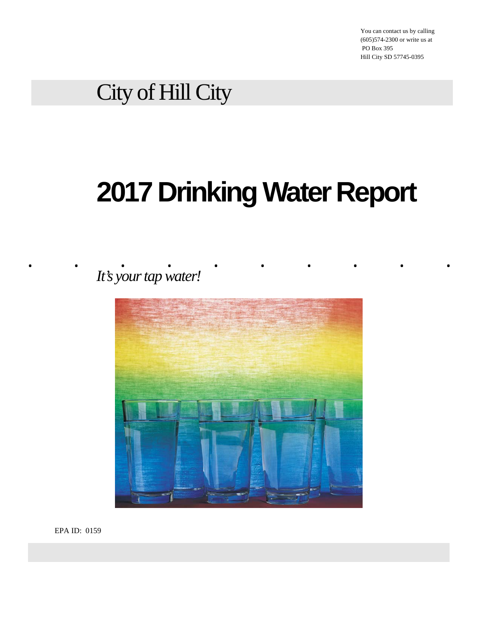You can contact us by calling (605)574-2300 or write us at PO Box 395 Hill City SD 57745-0395

# City of Hill City

# **2017 Drinking Water Report**

. . <u>.</u> . . . . . . . . . . . *It's your tap water!* 



EPA ID: 0159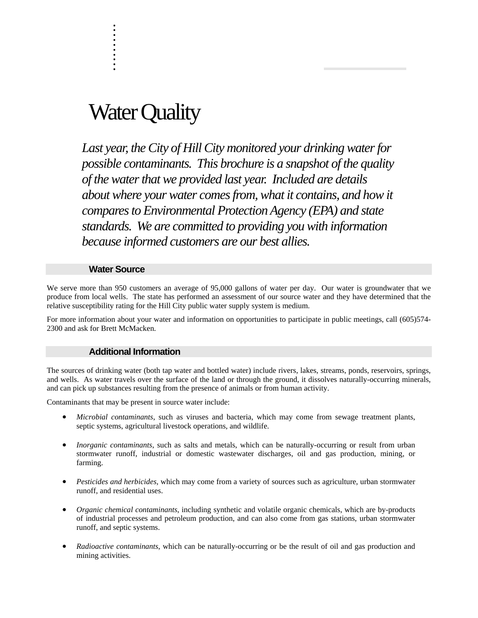# Water Quality

. . :<br>:<br>: :<br>:<br>: :<br>:<br>: :<br>:<br>: . :<br>:<br>: :<br>:<br>: .

*Last year, the City of Hill City monitored your drinking water for possible contaminants. This brochure is a snapshot of the quality of the water that we provided last year. Included are details about where your water comes from, what it contains, and how it compares to Environmental Protection Agency (EPA) and state standards. We are committed to providing you with information because informed customers are our best allies.* 

#### **Water Source**

We serve more than 950 customers an average of 95,000 gallons of water per day. Our water is groundwater that we produce from local wells. The state has performed an assessment of our source water and they have determined that the relative susceptibility rating for the Hill City public water supply system is medium.

For more information about your water and information on opportunities to participate in public meetings, call (605)574- 2300 and ask for Brett McMacken.

#### **Additional Information**

The sources of drinking water (both tap water and bottled water) include rivers, lakes, streams, ponds, reservoirs, springs, and wells. As water travels over the surface of the land or through the ground, it dissolves naturally-occurring minerals, and can pick up substances resulting from the presence of animals or from human activity.

Contaminants that may be present in source water include:

- *Microbial contaminants*, such as viruses and bacteria, which may come from sewage treatment plants, septic systems, agricultural livestock operations, and wildlife.
- *Inorganic contaminants*, such as salts and metals, which can be naturally-occurring or result from urban stormwater runoff, industrial or domestic wastewater discharges, oil and gas production, mining, or farming.
- *Pesticides and herbicides,* which may come from a variety of sources such as agriculture, urban stormwater runoff, and residential uses.
- *Organic chemical contaminants*, including synthetic and volatile organic chemicals, which are by-products of industrial processes and petroleum production, and can also come from gas stations, urban stormwater runoff, and septic systems.
- *Radioactive contaminants*, which can be naturally-occurring or be the result of oil and gas production and mining activities.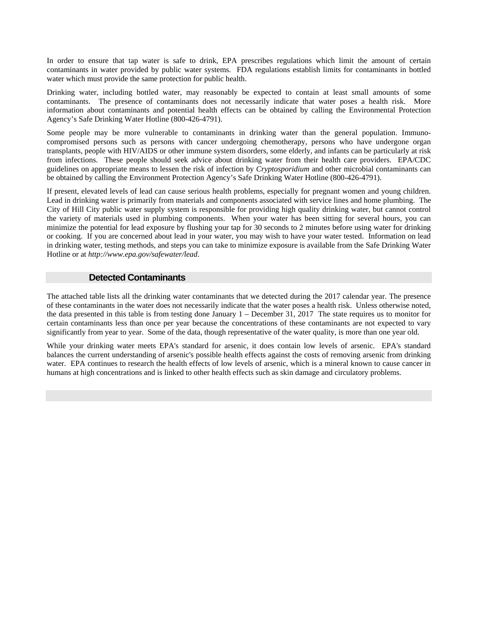In order to ensure that tap water is safe to drink, EPA prescribes regulations which limit the amount of certain contaminants in water provided by public water systems. FDA regulations establish limits for contaminants in bottled water which must provide the same protection for public health.

Drinking water, including bottled water, may reasonably be expected to contain at least small amounts of some contaminants. The presence of contaminants does not necessarily indicate that water poses a health risk. More information about contaminants and potential health effects can be obtained by calling the Environmental Protection Agency's Safe Drinking Water Hotline (800-426-4791).

Some people may be more vulnerable to contaminants in drinking water than the general population. Immunocompromised persons such as persons with cancer undergoing chemotherapy, persons who have undergone organ transplants, people with HIV/AIDS or other immune system disorders, some elderly, and infants can be particularly at risk from infections. These people should seek advice about drinking water from their health care providers. EPA/CDC guidelines on appropriate means to lessen the risk of infection by *Cryptosporidium* and other microbial contaminants can be obtained by calling the Environment Protection Agency's Safe Drinking Water Hotline (800-426-4791).

If present, elevated levels of lead can cause serious health problems, especially for pregnant women and young children. Lead in drinking water is primarily from materials and components associated with service lines and home plumbing. The City of Hill City public water supply system is responsible for providing high quality drinking water, but cannot control the variety of materials used in plumbing components. When your water has been sitting for several hours, you can minimize the potential for lead exposure by flushing your tap for 30 seconds to 2 minutes before using water for drinking or cooking. If you are concerned about lead in your water, you may wish to have your water tested. Information on lead in drinking water, testing methods, and steps you can take to minimize exposure is available from the Safe Drinking Water Hotline or at *http://www.epa.gov/safewater/lead*.

#### **Detected Contaminants**

The attached table lists all the drinking water contaminants that we detected during the 2017 calendar year. The presence of these contaminants in the water does not necessarily indicate that the water poses a health risk. Unless otherwise noted, the data presented in this table is from testing done January 1 – December 31, 2017 The state requires us to monitor for certain contaminants less than once per year because the concentrations of these contaminants are not expected to vary significantly from year to year. Some of the data, though representative of the water quality, is more than one year old.

While your drinking water meets EPA's standard for arsenic, it does contain low levels of arsenic. EPA's standard balances the current understanding of arsenic's possible health effects against the costs of removing arsenic from drinking water. EPA continues to research the health effects of low levels of arsenic, which is a mineral known to cause cancer in humans at high concentrations and is linked to other health effects such as skin damage and circulatory problems.